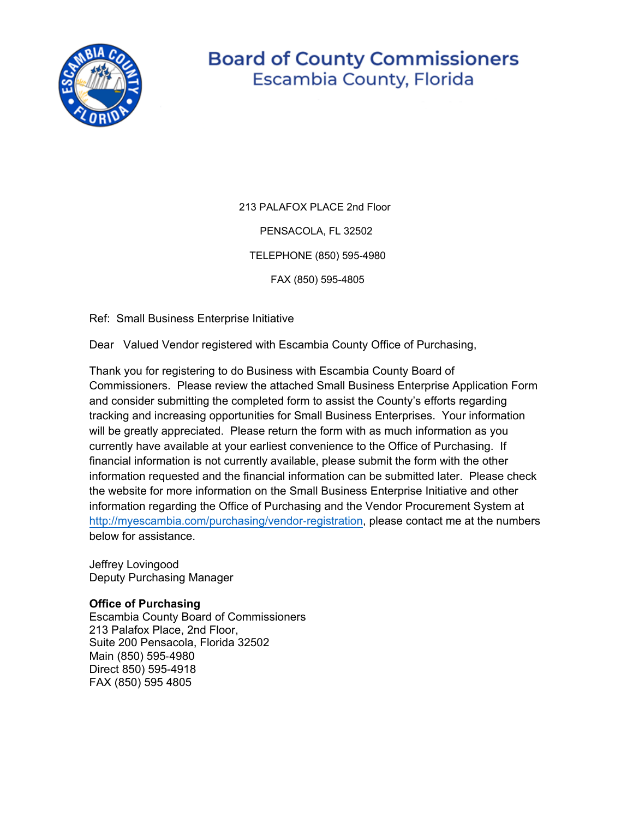

## **Board of County Commissioners** Escambia County, Florida

213 PALAFOX PLACE 2nd Floor PENSACOLA, FL 32502

TELEPHONE (850) 595-4980

FAX (850) 595-4805

Ref: Small Business Enterprise Initiative

Dear Valued Vendor registered with Escambia County Office of Purchasing,

Thank you for registering to do Business with Escambia County Board of Commissioners. Please review the attached Small Business Enterprise Application Form and consider submitting the completed form to assist the County's efforts regarding tracking and increasing opportunities for Small Business Enterprises. Your information will be greatly appreciated. Please return the form with as much information as you currently have available at your earliest convenience to the Office of Purchasing. If financial information is not currently available, please submit the form with the other information requested and the financial information can be submitted later. Please check the website for more information on the Small Business Enterprise Initiative and other information regarding the Office of Purchasing and the Vendor Procurement System at [http://myescambia.com/purchasing/vendor](http://myescambia.com/purchasing/vendor%E2%80%90registration)‐registration, please contact me at the numbers below for assistance.

Jeffrey Lovingood Deputy Purchasing Manager

## **Office of Purchasing**

Escambia County Board of Commissioners 213 Palafox Place, 2nd Floor, Suite 200 Pensacola, Florida 32502 Main (850) 595‐4980 Direct 850) 595-4918 FAX (850) 595 4805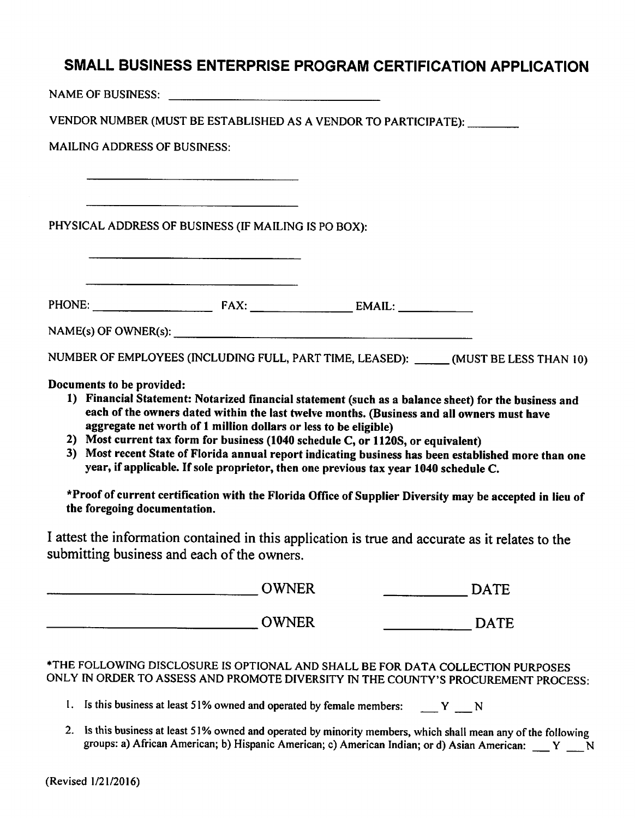## SMALL BUSINESS ENTERPRISE PROGRAM CERTIFICATION APPLICATION

NAME OF BUSINESS: NAME OF BUSINESS:

VENDOR NUMBER (MUST BE ESTABLISHED AS A VENDOR TO PARTICIPATE): \_\_\_\_\_\_\_\_

**MAILING ADDRESS OF BUSINESS:** 

PHYSICAL ADDRESS OF BUSINESS (IF MAILING IS PO BOX):

 $NAME(s)$  OF OWNER(s):

NUMBER OF EMPLOYEES (INCLUDING FULL, PART TIME, LEASED): \_\_\_\_\_\_ (MUST BE LESS THAN 10)

Documents to be provided:

- 1) Financial Statement: Notarized financial statement (such as a balance sheet) for the business and each of the owners dated within the last twelve months. (Business and all owners must have aggregate net worth of 1 million dollars or less to be eligible)
- 2) Most current tax form for business (1040 schedule C, or 1120S, or equivalent)
- 3) Most recent State of Florida annual report indicating business has been established more than one year, if applicable. If sole proprietor, then one previous tax year 1040 schedule C.

\*Proof of current certification with the Florida Office of Supplier Diversity may be accepted in lieu of the foregoing documentation.

I attest the information contained in this application is true and accurate as it relates to the submitting business and each of the owners.

| <b>OWNER</b> | DATE        |
|--------------|-------------|
| <b>OWNER</b> | <b>DATE</b> |

\*THE FOLLOWING DISCLOSURE IS OPTIONAL AND SHALL BE FOR DATA COLLECTION PURPOSES ONLY IN ORDER TO ASSESS AND PROMOTE DIVERSITY IN THE COUNTY'S PROCUREMENT PROCESS:

- 1. Is this business at least 51% owned and operated by female members: Y N
- 2. Is this business at least 51% owned and operated by minority members, which shall mean any of the following groups: a) African American; b) Hispanic American; c) American Indian; or d) Asian American: \_\_\_ Y \_\_ N